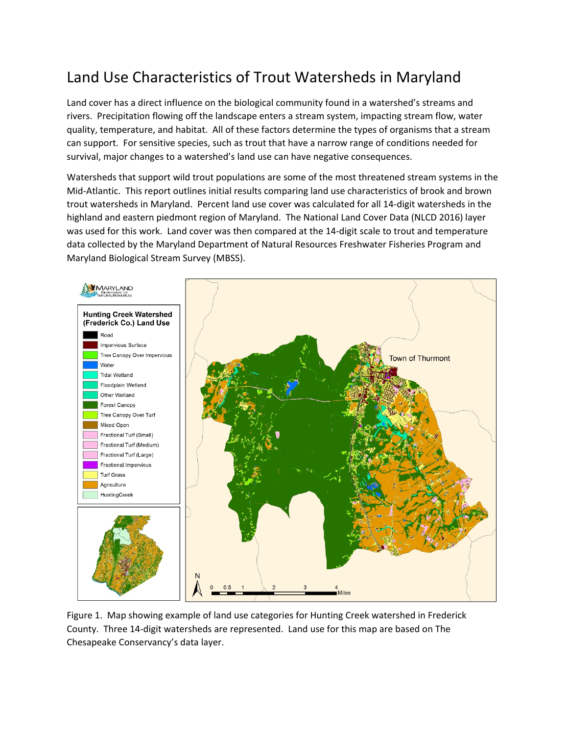## Land Use Characteristics of Trout Watersheds in Maryland

Land cover has a direct influence on the biological community found in a watershed's streams and rivers. Precipitation flowing off the landscape enters a stream system, impacting stream flow, water quality, temperature, and habitat. All of these factors determine the types of organisms that a stream can support. For sensitive species, such as trout that have a narrow range of conditions needed for survival, major changes to a watershed's land use can have negative consequences.

Watersheds that support wild trout populations are some of the most threatened stream systems in the Mid-Atlantic. This report outlines initial results comparing land use characteristics of brook and brown trout watersheds in Maryland. Percent land use cover was calculated for all 14-digit watersheds in the highland and eastern piedmont region of Maryland. The National Land Cover Data (NLCD 2016) layer was used for this work. Land cover was then compared at the 14-digit scale to trout and temperature data collected by the Maryland Department of Natural Resources Freshwater Fisheries Program and Maryland Biological Stream Survey (MBSS).



Figure 1. Map showing example of land use categories for Hunting Creek watershed in Frederick County. Three 14-digit watersheds are represented. Land use for this map are based on The Chesapeake Conservancy's data layer.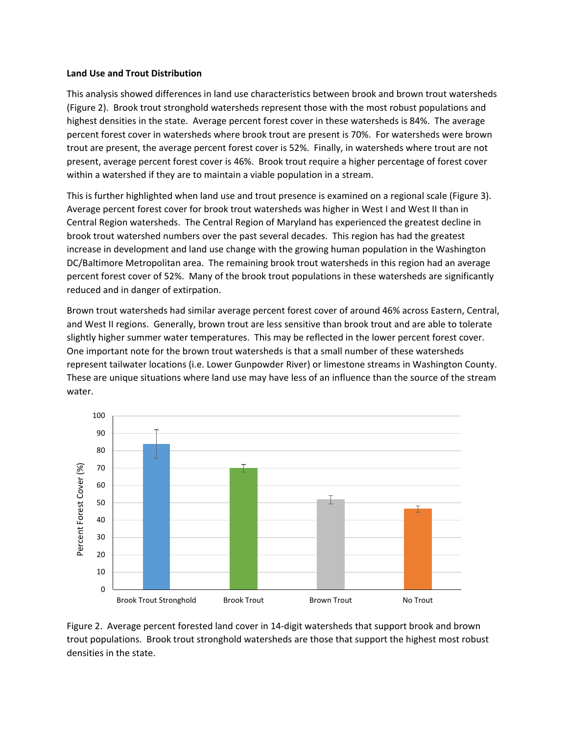## **Land Use and Trout Distribution**

This analysis showed differences in land use characteristics between brook and brown trout watersheds (Figure 2). Brook trout stronghold watersheds represent those with the most robust populations and highest densities in the state. Average percent forest cover in these watersheds is 84%. The average percent forest cover in watersheds where brook trout are present is 70%. For watersheds were brown trout are present, the average percent forest cover is 52%. Finally, in watersheds where trout are not present, average percent forest cover is 46%. Brook trout require a higher percentage of forest cover within a watershed if they are to maintain a viable population in a stream.

This is further highlighted when land use and trout presence is examined on a regional scale (Figure 3). Average percent forest cover for brook trout watersheds was higher in West I and West II than in Central Region watersheds. The Central Region of Maryland has experienced the greatest decline in brook trout watershed numbers over the past several decades. This region has had the greatest increase in development and land use change with the growing human population in the Washington DC/Baltimore Metropolitan area. The remaining brook trout watersheds in this region had an average percent forest cover of 52%. Many of the brook trout populations in these watersheds are significantly reduced and in danger of extirpation.

Brown trout watersheds had similar average percent forest cover of around 46% across Eastern, Central, and West II regions. Generally, brown trout are less sensitive than brook trout and are able to tolerate slightly higher summer water temperatures. This may be reflected in the lower percent forest cover. One important note for the brown trout watersheds is that a small number of these watersheds represent tailwater locations (i.e. Lower Gunpowder River) or limestone streams in Washington County. These are unique situations where land use may have less of an influence than the source of the stream water.



Figure 2. Average percent forested land cover in 14-digit watersheds that support brook and brown trout populations. Brook trout stronghold watersheds are those that support the highest most robust densities in the state.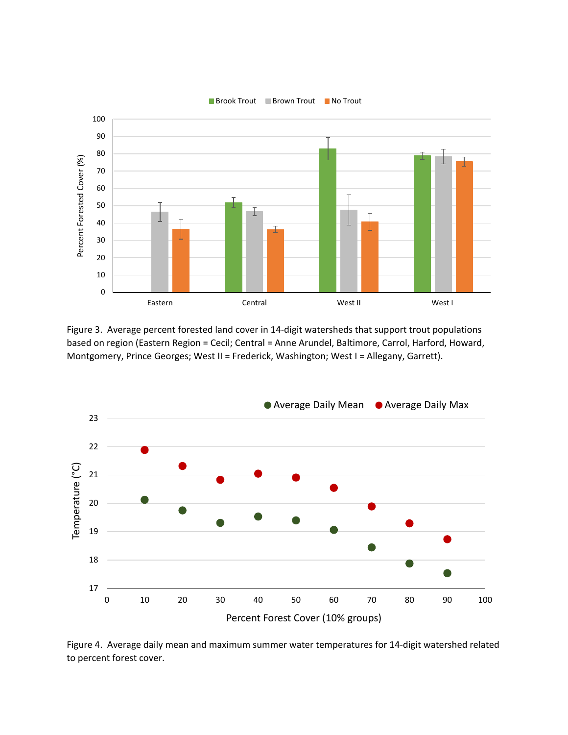

Figure 3. Average percent forested land cover in 14-digit watersheds that support trout populations based on region (Eastern Region = Cecil; Central = Anne Arundel, Baltimore, Carrol, Harford, Howard, Montgomery, Prince Georges; West II = Frederick, Washington; West I = Allegany, Garrett).



Figure 4. Average daily mean and maximum summer water temperatures for 14-digit watershed related to percent forest cover.